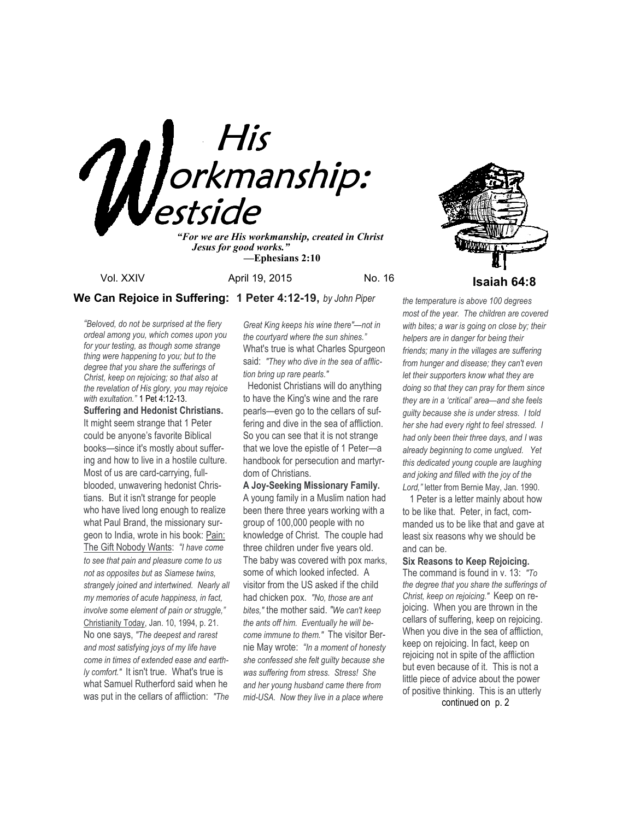

*"For we are His workmanship, created in Christ Jesus for good works." —***Ephesians 2:10**

Vol. XXIV **April 19, 2015** No. 16 **Isaiah 64:8** 



*"Beloved, do not be surprised at the fiery ordeal among you, which comes upon you for your testing, as though some strange thing were happening to you; but to the degree that you share the sufferings of Christ, keep on rejoicing; so that also at the revelation of His glory, you may rejoice with exultation."* 1 Pet 4:12-13. **Suffering and Hedonist Christians.**  It might seem strange that 1 Peter could be anyone's favorite Biblical books—since it's mostly about suffering and how to live in a hostile culture. Most of us are card-carrying, fullblooded, unwavering hedonist Christians. But it isn't strange for people who have lived long enough to realize what Paul Brand, the missionary surgeon to India, wrote in his book: Pain: The Gift Nobody Wants: *"I have come to see that pain and pleasure come to us not as opposites but as Siamese twins, strangely joined and intertwined. Nearly all my memories of acute happiness, in fact, involve some element of pain or struggle,"* Christianity Today, Jan. 10, 1994, p. 21. No one says, *"The deepest and rarest and most satisfying joys of my life have come in times of extended ease and earthly comfort."* It isn't true. What's true is what Samuel Rutherford said when he was put in the cellars of affliction: *"The* 

*Great King keeps his wine there"—not in the courtyard where the sun shines."* What's true is what Charles Spurgeon said: *"They who dive in the sea of affliction bring up rare pearls."* 

 Hedonist Christians will do anything to have the King's wine and the rare pearls—even go to the cellars of suffering and dive in the sea of affliction. So you can see that it is not strange that we love the epistle of 1 Peter—a handbook for persecution and martyrdom of Christians.

**A Joy-Seeking Missionary Family.**  A young family in a Muslim nation had been there three years working with a group of 100,000 people with no knowledge of Christ. The couple had three children under five years old. The baby was covered with pox marks, some of which looked infected. A visitor from the US asked if the child had chicken pox. *"No, those are ant bites,"* the mother said. *"We can't keep the ants off him. Eventually he will become immune to them."* The visitor Bernie May wrote: *"In a moment of honesty she confessed she felt guilty because she was suffering from stress. Stress! She and her young husband came there from mid-USA. Now they live in a place where* 

*the temperature is above 100 degrees most of the year. The children are covered with bites; a war is going on close by; their helpers are in danger for being their friends; many in the villages are suffering from hunger and disease; they can't even let their supporters know what they are doing so that they can pray for them since they are in a 'critical' area—and she feels guilty because she is under stress. I told her she had every right to feel stressed. I had only been their three days, and I was already beginning to come unglued. Yet this dedicated young couple are laughing and joking and filled with the joy of the Lord,"* letter from Bernie May, Jan. 1990.

 1 Peter is a letter mainly about how to be like that. Peter, in fact, commanded us to be like that and gave at least six reasons why we should be and can be.

**Six Reasons to Keep Rejoicing.** 

The command is found in v. 13: *"To the degree that you share the sufferings of Christ, keep on rejoicing."* Keep on rejoicing. When you are thrown in the cellars of suffering, keep on rejoicing. When you dive in the sea of affliction, keep on rejoicing. In fact, keep on rejoicing not in spite of the affliction but even because of it. This is not a little piece of advice about the power of positive thinking. This is an utterly

continued on p. 2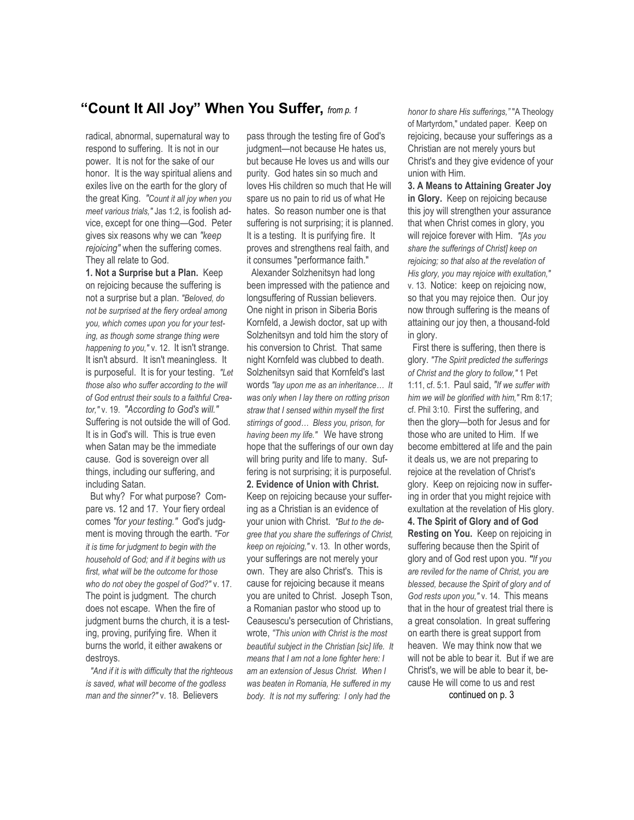# **"Count It All Joy" When You Suffer,** *from p. 1*

radical, abnormal, supernatural way to respond to suffering. It is not in our power. It is not for the sake of our honor. It is the way spiritual aliens and exiles live on the earth for the glory of the great King. *"Count it all joy when you meet various trials,"* Jas 1:2, is foolish advice, except for one thing—God. Peter gives six reasons why we can *"keep rejoicing"* when the suffering comes. They all relate to God.

**1. Not a Surprise but a Plan.** Keep on rejoicing because the suffering is not a surprise but a plan. *"Beloved, do not be surprised at the fiery ordeal among you, which comes upon you for your testing, as though some strange thing were happening to you,"* v. 12. It isn't strange. It isn't absurd. It isn't meaningless. It is purposeful. It is for your testing. *"Let those also who suffer according to the will of God entrust their souls to a faithful Creator,"* v. 19. *"According to God's will."* Suffering is not outside the will of God. It is in God's will. This is true even when Satan may be the immediate cause. God is sovereign over all things, including our suffering, and including Satan.

 But why? For what purpose? Compare vs. 12 and 17. Your fiery ordeal comes *"for your testing."* God's judgment is moving through the earth. *"For it is time for judgment to begin with the household of God; and if it begins with us first, what will be the outcome for those who do not obey the gospel of God?"* v. 17. The point is judgment. The church does not escape. When the fire of judgment burns the church, it is a testing, proving, purifying fire. When it burns the world, it either awakens or destroys.

 *"And if it is with difficulty that the righteous is saved, what will become of the godless man and the sinner?"* v. 18. Believers

pass through the testing fire of God's judgment—not because He hates us, but because He loves us and wills our purity. God hates sin so much and loves His children so much that He will spare us no pain to rid us of what He hates. So reason number one is that suffering is not surprising; it is planned. It is a testing. It is purifying fire. It proves and strengthens real faith, and it consumes "performance faith."

 Alexander Solzhenitsyn had long been impressed with the patience and longsuffering of Russian believers. One night in prison in Siberia Boris Kornfeld, a Jewish doctor, sat up with Solzhenitsyn and told him the story of his conversion to Christ. That same night Kornfeld was clubbed to death. Solzhenitsyn said that Kornfeld's last words *"lay upon me as an inheritance… It was only when I lay there on rotting prison straw that I sensed within myself the first stirrings of good… Bless you, prison, for having been my life."* We have strong hope that the sufferings of our own day will bring purity and life to many. Suffering is not surprising; it is purposeful. **2. Evidence of Union with Christ.**  Keep on rejoicing because your suffering as a Christian is an evidence of your union with Christ. *"But to the degree that you share the sufferings of Christ, keep on rejoicing,"* v. 13. In other words, your sufferings are not merely your own. They are also Christ's. This is cause for rejoicing because it means you are united to Christ. Joseph Tson, a Romanian pastor who stood up to Ceausescu's persecution of Christians, wrote, *"This union with Christ is the most beautiful subject in the Christian [sic] life. It means that I am not a lone fighter here: I am an extension of Jesus Christ. When I was beaten in Romania, He suffered in my body. It is not my suffering: I only had the* 

*honor to share His sufferings,"* "A Theology of Martyrdom," undated paper. Keep on rejoicing, because your sufferings as a Christian are not merely yours but Christ's and they give evidence of your union with Him.

**3. A Means to Attaining Greater Joy in Glory.** Keep on rejoicing because this joy will strengthen your assurance that when Christ comes in glory, you will rejoice forever with Him. *"[As you share the sufferings of Christ] keep on rejoicing; so that also at the revelation of His glory, you may rejoice with exultation,"* v. 13. Notice: keep on rejoicing now, so that you may rejoice then. Our joy now through suffering is the means of attaining our joy then, a thousand-fold in glory.

 First there is suffering, then there is glory. *"The Spirit predicted the sufferings of Christ and the glory to follow,"* 1 Pet 1:11, cf. 5:1. Paul said, *"If we suffer with him we will be glorified with him,"* Rm 8:17; cf. Phil 3:10. First the suffering, and then the glory—both for Jesus and for those who are united to Him. If we become embittered at life and the pain it deals us, we are not preparing to rejoice at the revelation of Christ's glory. Keep on rejoicing now in suffering in order that you might rejoice with exultation at the revelation of His glory. **4. The Spirit of Glory and of God Resting on You.** Keep on rejoicing in suffering because then the Spirit of glory and of God rest upon you. *"If you are reviled for the name of Christ, you are blessed, because the Spirit of glory and of God rests upon you,"* v. 14. This means that in the hour of greatest trial there is a great consolation. In great suffering on earth there is great support from heaven. We may think now that we will not be able to bear it. But if we are Christ's, we will be able to bear it, because He will come to us and rest continued on p. 3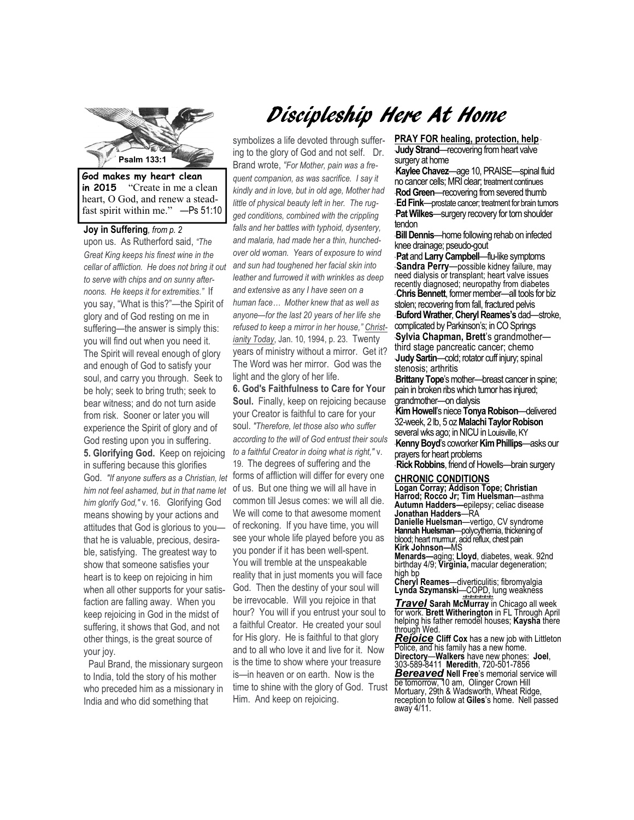

**in 2015** "Create in me a clean heart, O God, and renew a steadfast spirit within me." —Ps 51:10

**Joy in Suffering***, from p. 2*  upon us. As Rutherford said, *"The Great King keeps his finest wine in the cellar of affliction. He does not bring it out to serve with chips and on sunny afternoons. He keeps it for extremities."* If you say, "What is this?"—the Spirit of glory and of God resting on me in suffering—the answer is simply this: you will find out when you need it. The Spirit will reveal enough of glory and enough of God to satisfy your soul, and carry you through. Seek to be holy; seek to bring truth; seek to bear witness; and do not turn aside from risk. Sooner or later you will experience the Spirit of glory and of God resting upon you in suffering. **5. Glorifying God.** Keep on rejoicing in suffering because this glorifies God. *"If anyone suffers as a Christian, let him not feel ashamed, but in that name let him glorify God,"* v. 16. Glorifying God means showing by your actions and attitudes that God is glorious to you that he is valuable, precious, desirable, satisfying. The greatest way to show that someone satisfies your heart is to keep on rejoicing in him when all other supports for your satisfaction are falling away. When you keep rejoicing in God in the midst of suffering, it shows that God, and not other things, is the great source of your joy.

 Paul Brand, the missionary surgeon to India, told the story of his mother who preceded him as a missionary in India and who did something that

# Discipleship Here At Home

symbolizes a life devoted through suffering to the glory of God and not self. Dr. Brand wrote, *"For Mother, pain was a frequent companion, as was sacrifice. I say it kindly and in love, but in old age, Mother had little of physical beauty left in her. The rugged conditions, combined with the crippling falls and her battles with typhoid, dysentery, and malaria, had made her a thin, hunchedover old woman. Years of exposure to wind and sun had toughened her facial skin into leather and furrowed it with wrinkles as deep and extensive as any I have seen on a human face… Mother knew that as well as anyone—for the last 20 years of her life she refused to keep a mirror in her house," Christianity Today*, Jan. 10, 1994, p. 23. Twenty years of ministry without a mirror. Get it? The Word was her mirror. God was the light and the glory of her life.

**6. God's Faithfulness to Care for Your Soul.** Finally, keep on rejoicing because your Creator is faithful to care for your soul. *"Therefore, let those also who suffer according to the will of God entrust their souls to a faithful Creator in doing what is right,"* v.

19. The degrees of suffering and the forms of affliction will differ for every one of us. But one thing we will all have in common till Jesus comes: we will all die. We will come to that awesome moment of reckoning. If you have time, you will see your whole life played before you as you ponder if it has been well-spent. You will tremble at the unspeakable reality that in just moments you will face God. Then the destiny of your soul will be irrevocable. Will you rejoice in that hour? You will if you entrust your soul to a faithful Creator. He created your soul for His glory. He is faithful to that glory and to all who love it and live for it. Now is the time to show where your treasure is—in heaven or on earth. Now is the time to shine with the glory of God. Trust Him. And keep on rejoicing.

**PRAY FOR healing, protection, help** \* **Judy Strand—recovering from heart valve** surgery at home

\***Kaylee Chavez**—age 10, PRAISE—spinal fluid no cancer cells; MRI clear; treatment continues **Rod Green**—recovering from severed thumb \* **Ed Fink**—prostate cancer; treatment for brain tumors **Pat Wilkes**—surgery recovery for torn shoulder tendon

tenaon<br>·**Bill Dennis**—home following rehab on infected knee drainage; pseudo-gout

\* **Pat** and **Larry Campbell**—flu-like symptoms **Sandra Perry**—possible kidney failure, may need dialysis or transplant; heart valve issues recently diagnosed; neuropathy from diabetes \* **Chris Bennett**, former member—all tools for biz stolen; recovering from fall, fractured pelvis \* **Buford Wrather**, **Cheryl Reames's** dad—stroke, complicated by Parkinson's; in CO Springs \***Sylvia Chapman, Brett**'s grandmother third stage pancreatic cancer; chemo **Judy Sartin**—cold; rotator cuff injury; spinal stenosis; arthritis

**Brittany Tope**'s mother—breast cancer in spine; pain in broken ribs which tumor has injured; grandmother—on dialysis

\***Kim Howell**'s niece **Tonya Robison**—delivered 32-week, 2 lb, 5 oz **Malachi Taylor Robison**  several wks ago; in NICU in Louisville, KY \***Kenny Boyd**'s coworker **Kim Phillips**—asks our prayers for heart problems

\* **Rick Robbins**, friend of Howells—brain surgery

#### **CHRONIC CONDITIONS**

**Logan Corray; Addison Tope; Christian Harrod; Rocco Jr; Tim Huelsman**—asthma **Autumn Hadders—**epilepsy; celiac disease **Jonathan Hadders**—RA **Danielle Huelsman**—vertigo, CV syndrome

**Hannah Huelsman**—polycythemia, thickening of blood; heart murmur, acid reflux, chest pain **Kirk Johnson—**MS

**Menards—**aging; **Lloyd**, diabetes, weak. 92nd birthday 4/9; **Virginia,** macular degeneration; high bp

**Cheryl Reames**—diverticulitis; fibromyalgia **Lynda Szymanski**—COPD, lung weakness

*+#+#+#+#+#+#+ Travel* **Sarah McMurray** in Chicago all week for work. **Brett Witherington** in FL Through April helping his father remodel houses; **Kaysha** there through Wed.

*Rejoice* **Cliff Cox** has a new job with Littleton Police, and his family has a new home. **Directory**—**Walkers** have new phones: **Joel**, 303-589-8411 **Meredith**, 720-501-7856 *Bereaved* **Nell Free**'s memorial service will be tomorrow, 10 am, Olinger Crown Hill Mortuary, 29th & Wadsworth, Wheat Ridge, reception to follow at **Giles**'s home. Nell passed away 4/11.